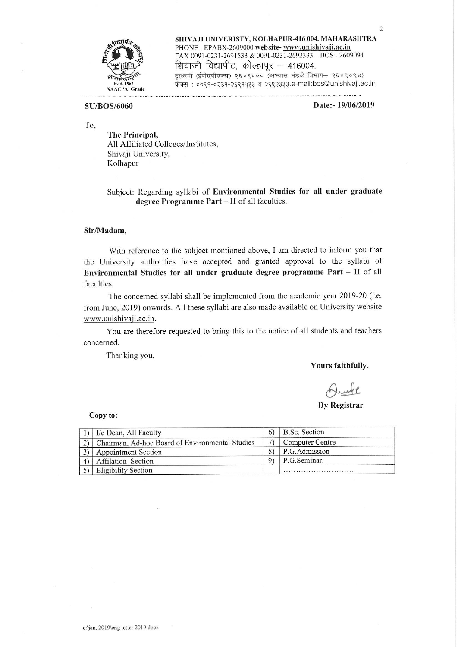

SHIVAJI UNIVERISTY, KOLHAPUR-416 004. MAHARASHTRA PHONE: EPABX-2609000 website- www.unishivaji.ac.in FAX 0091-0231-2691533 & 0091-0231-2692333 - BOS - 2609094 शिवाजी विद्यापीठ, कोल्हापूर - 416004. दुरध्वनी (ईपीएबीएक्स) २६०९००० (अभ्यास मंडळे विभाग– २६०९०९४) फॅक्स: ००९१-०२३१-२६९१५३३ व २६९२३३३.e-mail:bos@unishivaji.ac.in

## **SU/BOS/6060**

#### Date:-19/06/2019

 $\overline{2}$ 

To.

The Principal, All Affiliated Colleges/Institutes, Shivaji University, Kolhapur

Subject: Regarding syllabi of Environmental Studies for all under graduate degree Programme Part - II of all faculties.

### Sir/Madam,

With reference to the subject mentioned above, I am directed to inform you that the University authorities have accepted and granted approval to the syllabi of Environmental Studies for all under graduate degree programme Part - II of all faculties.

The concerned syllabi shall be implemented from the academic year 2019-20 (i.e. from June, 2019) onwards. All these syllabi are also made available on University website www.unishivaji.ac.in.

You are therefore requested to bring this to the notice of all students and teachers concerned.

Thanking you,

#### Yours faithfully,

**Dy Registrar** 

### Copy to:

| 1) $\vert$ I/c Dean, All Faculty                | B.Sc. Section          |
|-------------------------------------------------|------------------------|
| Chairman, Ad-hoc Board of Environmental Studies | <b>Computer Centre</b> |
| <b>Appointment Section</b>                      | P.G.Admission          |
| Affilation Section                              | P.G.Seminar.           |
| 5) Eligibility Section                          |                        |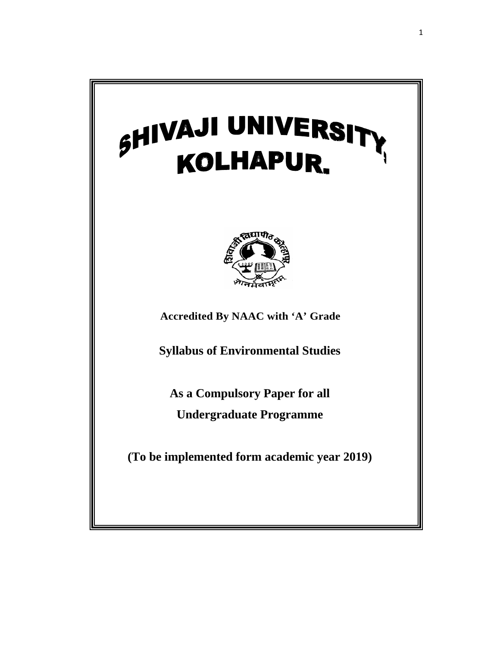# SHIVAJI UNIVERSIT **TY** KOLHAPUR.



**Accredited By NAAC with 'A' Grade** 

**Syllabus of Environmental Studies** 

**As a Compulsory Paper for all Undergraduate Programme** 

**(To be implemented form academic year 2019)**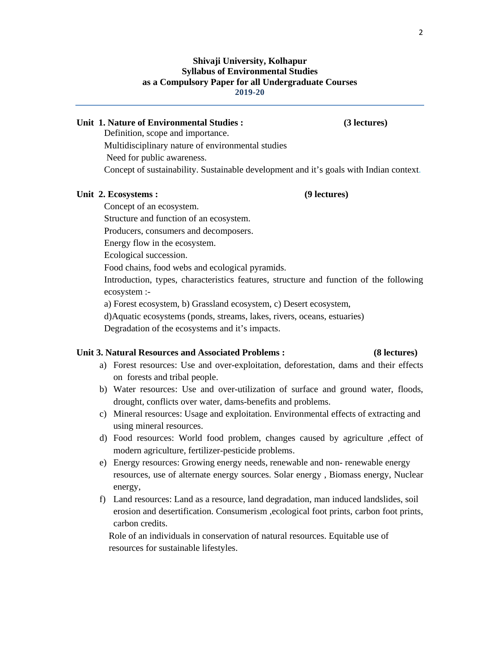# **Shivaji University, Kolhapur Syllabus of Environmental Studies as a Compulsory Paper for all Undergraduate Courses 2019-20**

# **Unit 1. Nature of Environmental Studies : (3 lectures)**

Definition, scope and importance. Multidisciplinary nature of environmental studies Need for public awareness. Concept of sustainability. Sustainable development and it's goals with Indian context.

## Unit 2. Ecosystems : (9 lectures)

Concept of an ecosystem. Structure and function of an ecosystem. Producers, consumers and decomposers. Energy flow in the ecosystem. Ecological succession. Food chains, food webs and ecological pyramids. Introduction, types, characteristics features, structure and function of the following ecosystem : a) Forest ecosystem, b) Grassland ecosystem, c) Desert ecosystem,

d)Aquatic ecosystems (ponds, streams, lakes, rivers, oceans, estuaries)

Degradation of the ecosystems and it's impacts.

# **Unit 3. Natural Resources and Associated Problems : (8 lectures)**

- a) Forest resources: Use and over-exploitation, deforestation, dams and their effects on forests and tribal people.
- b) Water resources: Use and over-utilization of surface and ground water, floods, drought, conflicts over water, dams-benefits and problems.
- c) Mineral resources: Usage and exploitation. Environmental effects of extracting and using mineral resources.
- d) Food resources: World food problem, changes caused by agriculture ,effect of modern agriculture, fertilizer-pesticide problems.
- e) Energy resources: Growing energy needs, renewable and non- renewable energy resources, use of alternate energy sources. Solar energy , Biomass energy, Nuclear energy,
- f) Land resources: Land as a resource, land degradation, man induced landslides, soil erosion and desertification. Consumerism ,ecological foot prints, carbon foot prints, carbon credits.

 Role of an individuals in conservation of natural resources. Equitable use of resources for sustainable lifestyles.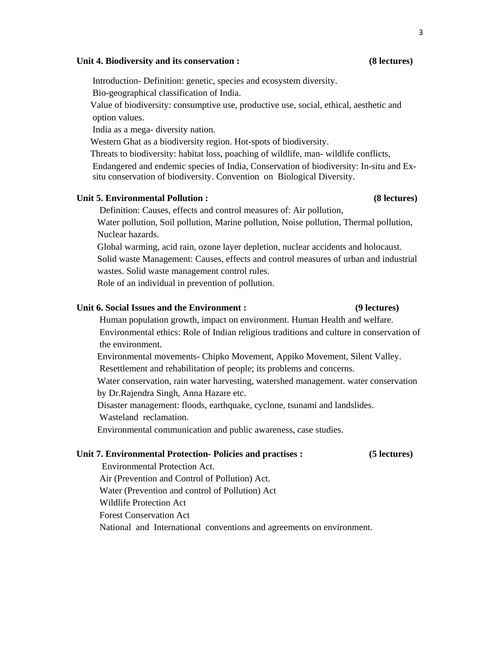### **Unit 4. Biodiversity and its conservation : (8 lectures)**

Introduction- Definition: genetic, species and ecosystem diversity.

Bio-geographical classification of India.

 Value of biodiversity: consumptive use, productive use, social, ethical, aesthetic and option values.

India as a mega- diversity nation.

Western Ghat as a biodiversity region. Hot-spots of biodiversity.

 Threats to biodiversity: habitat loss, poaching of wildlife, man- wildlife conflicts, Endangered and endemic species of India, Conservation of biodiversity: In-situ and Ex situ conservation of biodiversity. Convention on Biological Diversity.

## **Unit 5. Environmental Pollution : (8 lectures)**

Definition: Causes, effects and control measures of: Air pollution,

 Water pollution, Soil pollution, Marine pollution, Noise pollution, Thermal pollution, Nuclear hazards.

 Global warming, acid rain, ozone layer depletion, nuclear accidents and holocaust. Solid waste Management: Causes, effects and control measures of urban and industrial wastes. Solid waste management control rules.

Role of an individual in prevention of pollution.

## **Unit 6. Social Issues and the Environment : (9 lectures)**

# Human population growth, impact on environment. Human Health and welfare. Environmental ethics: Role of Indian religious traditions and culture in conservation of the environment.

Environmental movements- Chipko Movement, Appiko Movement, Silent Valley.

Resettlement and rehabilitation of people; its problems and concerns.

 Water conservation, rain water harvesting, watershed management. water conservation by Dr.Rajendra Singh, Anna Hazare etc.

Disaster management: floods, earthquake, cyclone, tsunami and landslides.

Wasteland reclamation.

Environmental communication and public awareness, case studies.

# **Unit 7. Environmental Protection- Policies and practises : (5 lectures)**

 Environmental Protection Act. Air (Prevention and Control of Pollution) Act. Water (Prevention and control of Pollution) Act Wildlife Protection Act Forest Conservation Act National and International conventions and agreements on environment.

# 3